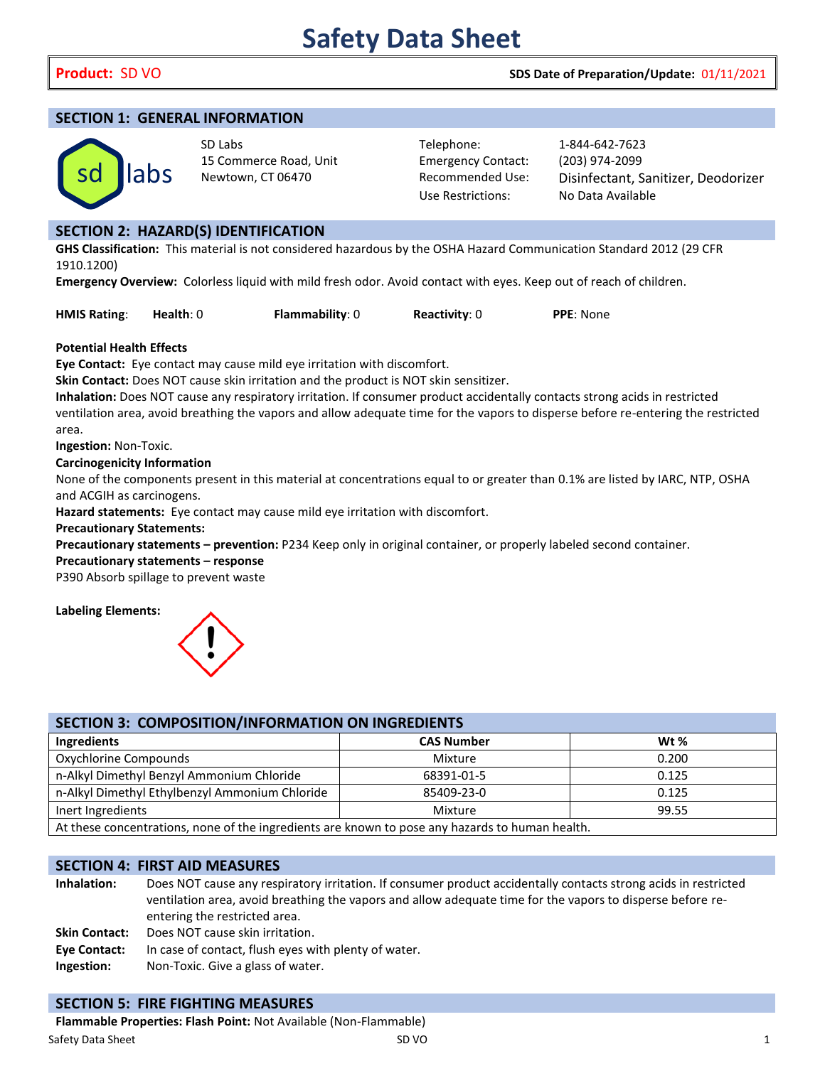# **Product:** SD VO **SDS Date of Preparation/Update:** 01/11/2021

#### **SECTION 1: GENERAL INFORMATION**



SD Labs Telephone: 1-844-642-7623 15 Commerce Road, Unit Emergency Contact: (203) 974-2099

Use Restrictions: No Data Available

Newtown, CT 06470 Recommended Use: Disinfectant, Sanitizer, Deodorizer

# **SECTION 2: HAZARD(S) IDENTIFICATION**

#### **Potential Health Effects**

#### **Precautionary statements – response**



| sd                                                               | labs                                                                                                             | 15 COMMERCE ROAD, OMR<br>Newtown, CT 06470                                                      |  | ETHEI REITLY CONTRACT.<br><b>Recommended Use:</b><br><b>Use Restrictions:</b> | (205) 974-2099<br>Disinfectant, Sanitizer, Deodorizer<br>No Data Available                                                        |  |
|------------------------------------------------------------------|------------------------------------------------------------------------------------------------------------------|-------------------------------------------------------------------------------------------------|--|-------------------------------------------------------------------------------|-----------------------------------------------------------------------------------------------------------------------------------|--|
|                                                                  |                                                                                                                  |                                                                                                 |  |                                                                               |                                                                                                                                   |  |
|                                                                  |                                                                                                                  | <b>SECTION 2: HAZARD(S) IDENTIFICATION</b>                                                      |  |                                                                               |                                                                                                                                   |  |
|                                                                  |                                                                                                                  |                                                                                                 |  |                                                                               | GHS Classification: This material is not considered hazardous by the OSHA Hazard Communication Standard 2012 (29 CFR              |  |
| 1910.1200)                                                       |                                                                                                                  |                                                                                                 |  |                                                                               |                                                                                                                                   |  |
|                                                                  |                                                                                                                  |                                                                                                 |  |                                                                               | Emergency Overview: Colorless liquid with mild fresh odor. Avoid contact with eyes. Keep out of reach of children.                |  |
| <b>HMIS Rating:</b>                                              | Health: $0$                                                                                                      | Flammability: 0                                                                                 |  | Reactivity: 0                                                                 | PPE: None                                                                                                                         |  |
| <b>Potential Health Effects</b>                                  |                                                                                                                  |                                                                                                 |  |                                                                               |                                                                                                                                   |  |
|                                                                  |                                                                                                                  | Eye Contact: Eye contact may cause mild eye irritation with discomfort.                         |  |                                                                               |                                                                                                                                   |  |
|                                                                  |                                                                                                                  | Skin Contact: Does NOT cause skin irritation and the product is NOT skin sensitizer.            |  |                                                                               |                                                                                                                                   |  |
|                                                                  |                                                                                                                  |                                                                                                 |  |                                                                               | Inhalation: Does NOT cause any respiratory irritation. If consumer product accidentally contacts strong acids in restricted       |  |
|                                                                  |                                                                                                                  |                                                                                                 |  |                                                                               | ventilation area, avoid breathing the vapors and allow adequate time for the vapors to disperse before re-entering the restricted |  |
| area.                                                            |                                                                                                                  |                                                                                                 |  |                                                                               |                                                                                                                                   |  |
| Ingestion: Non-Toxic.                                            |                                                                                                                  |                                                                                                 |  |                                                                               |                                                                                                                                   |  |
| <b>Carcinogenicity Information</b>                               |                                                                                                                  |                                                                                                 |  |                                                                               |                                                                                                                                   |  |
|                                                                  |                                                                                                                  |                                                                                                 |  |                                                                               | None of the components present in this material at concentrations equal to or greater than 0.1% are listed by IARC, NTP, OSHA     |  |
| and ACGIH as carcinogens.                                        |                                                                                                                  |                                                                                                 |  |                                                                               |                                                                                                                                   |  |
| <b>Precautionary Statements:</b>                                 |                                                                                                                  | Hazard statements: Eye contact may cause mild eye irritation with discomfort.                   |  |                                                                               |                                                                                                                                   |  |
|                                                                  |                                                                                                                  |                                                                                                 |  |                                                                               | Precautionary statements - prevention: P234 Keep only in original container, or properly labeled second container.                |  |
| Precautionary statements - response                              |                                                                                                                  |                                                                                                 |  |                                                                               |                                                                                                                                   |  |
| P390 Absorb spillage to prevent waste                            |                                                                                                                  |                                                                                                 |  |                                                                               |                                                                                                                                   |  |
| <b>Labeling Elements:</b>                                        |                                                                                                                  |                                                                                                 |  |                                                                               |                                                                                                                                   |  |
|                                                                  |                                                                                                                  | SECTION 3: COMPOSITION/INFORMATION ON INGREDIENTS                                               |  |                                                                               |                                                                                                                                   |  |
| Ingredients                                                      |                                                                                                                  |                                                                                                 |  | <b>CAS Number</b>                                                             | Wt %                                                                                                                              |  |
| Oxychlorine Compounds                                            |                                                                                                                  |                                                                                                 |  | Mixture                                                                       | 0.200                                                                                                                             |  |
|                                                                  |                                                                                                                  | n-Alkyl Dimethyl Benzyl Ammonium Chloride                                                       |  | 68391-01-5                                                                    | 0.125                                                                                                                             |  |
|                                                                  |                                                                                                                  | n-Alkyl Dimethyl Ethylbenzyl Ammonium Chloride                                                  |  | 85409-23-0                                                                    | 0.125                                                                                                                             |  |
| Inert Ingredients                                                |                                                                                                                  |                                                                                                 |  | Mixture                                                                       | 99.55                                                                                                                             |  |
|                                                                  |                                                                                                                  | At these concentrations, none of the ingredients are known to pose any hazards to human health. |  |                                                                               |                                                                                                                                   |  |
|                                                                  |                                                                                                                  |                                                                                                 |  |                                                                               |                                                                                                                                   |  |
| <b>SECTION 4: FIRST AID MEASURES</b>                             |                                                                                                                  |                                                                                                 |  |                                                                               |                                                                                                                                   |  |
| Inhalation:                                                      |                                                                                                                  |                                                                                                 |  |                                                                               | Does NOT cause any respiratory irritation. If consumer product accidentally contacts strong acids in restricted                   |  |
|                                                                  |                                                                                                                  |                                                                                                 |  |                                                                               | ventilation area, avoid breathing the vapors and allow adequate time for the vapors to disperse before re-                        |  |
| <b>Skin Contact:</b>                                             | entering the restricted area.                                                                                    |                                                                                                 |  |                                                                               |                                                                                                                                   |  |
|                                                                  | Does NOT cause skin irritation.                                                                                  |                                                                                                 |  |                                                                               |                                                                                                                                   |  |
| Ingestion:                                                       | In case of contact, flush eyes with plenty of water.<br><b>Eye Contact:</b><br>Non-Toxic. Give a glass of water. |                                                                                                 |  |                                                                               |                                                                                                                                   |  |
|                                                                  |                                                                                                                  |                                                                                                 |  |                                                                               |                                                                                                                                   |  |
| <b>SECTION 5: FIRE FIGHTING MEASURES</b>                         |                                                                                                                  |                                                                                                 |  |                                                                               |                                                                                                                                   |  |
| Flammable Properties: Flash Point: Not Available (Non-Flammable) |                                                                                                                  |                                                                                                 |  |                                                                               |                                                                                                                                   |  |
|                                                                  |                                                                                                                  |                                                                                                 |  |                                                                               |                                                                                                                                   |  |

## **SECTION 4: FIRST AID MEASURES**

# **SECTION 5: FIRE FIGHTING MEASURES**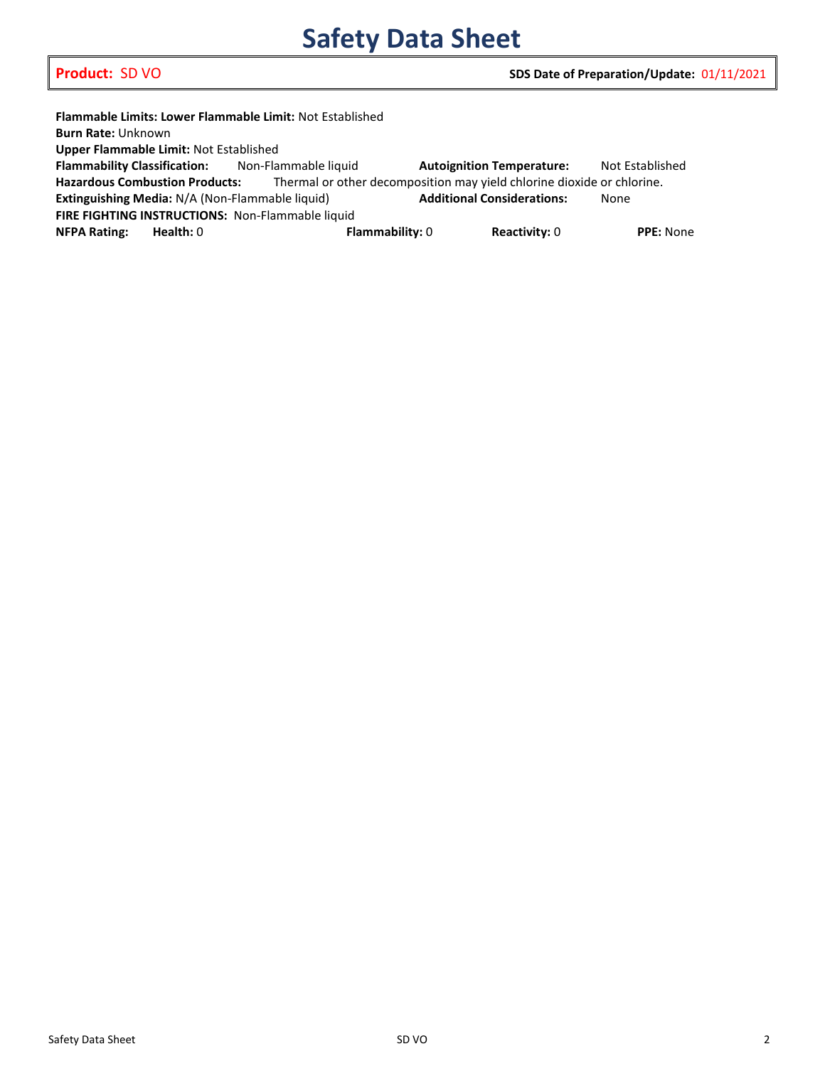# **Safety Data Sheet**

|                                                                                                                 |             | <b>Flammable Limits: Lower Flammable Limit: Not Established</b> |                                   |                                  |                  |  |
|-----------------------------------------------------------------------------------------------------------------|-------------|-----------------------------------------------------------------|-----------------------------------|----------------------------------|------------------|--|
| <b>Burn Rate: Unknown</b>                                                                                       |             |                                                                 |                                   |                                  |                  |  |
| Upper Flammable Limit: Not Established                                                                          |             |                                                                 |                                   |                                  |                  |  |
|                                                                                                                 |             | <b>Flammability Classification:</b> Non-Flammable liquid        |                                   | <b>Autoignition Temperature:</b> | Not Established  |  |
| <b>Hazardous Combustion Products:</b><br>Thermal or other decomposition may yield chlorine dioxide or chlorine. |             |                                                                 |                                   |                                  |                  |  |
| Extinguishing Media: N/A (Non-Flammable liquid)                                                                 |             |                                                                 | <b>Additional Considerations:</b> |                                  | None             |  |
| FIRE FIGHTING INSTRUCTIONS: Non-Flammable liquid                                                                |             |                                                                 |                                   |                                  |                  |  |
| <b>NFPA Rating:</b>                                                                                             | Health: $0$ | <b>Flammability: 0</b>                                          |                                   | <b>Reactivity: 0</b>             | <b>PPE: None</b> |  |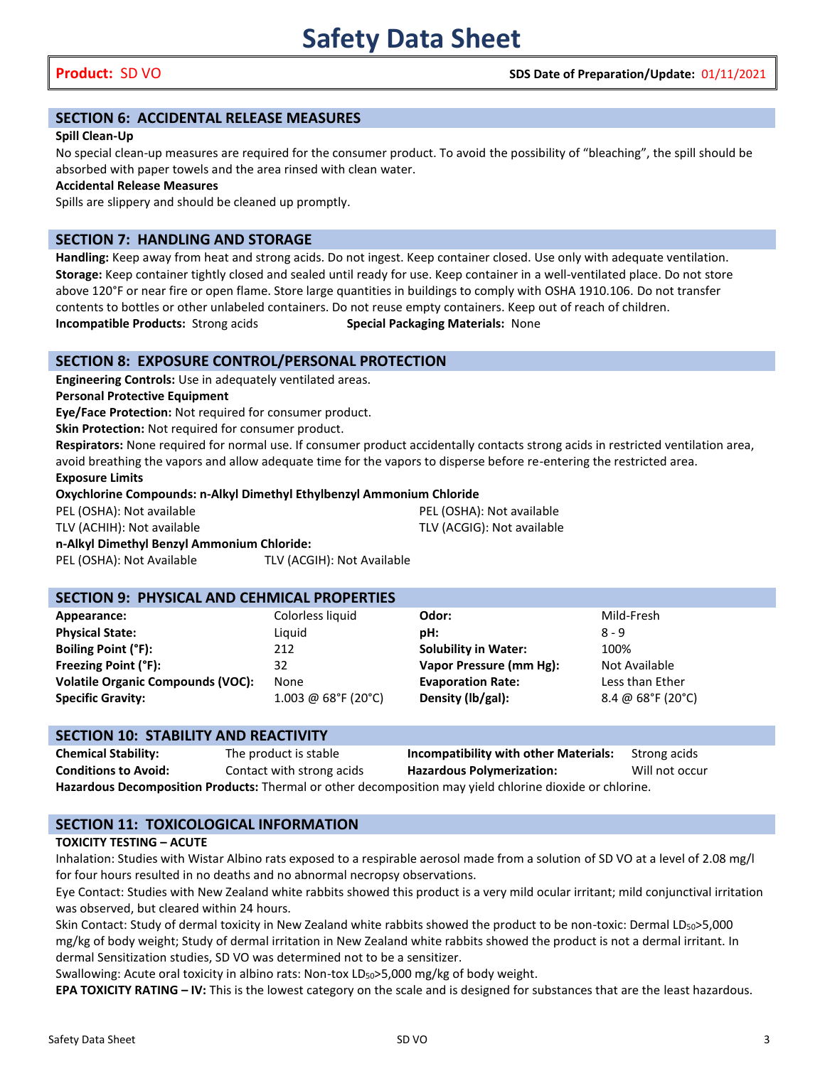# **SECTION 6: ACCIDENTAL RELEASE MEASURES**

#### **Spill Clean-Up**

No special clean-up measures are required for the consumer product. To avoid the possibility of "bleaching", the spill should be absorbed with paper towels and the area rinsed with clean water.

**Accidental Release Measures**

Spills are slippery and should be cleaned up promptly.

# **SECTION 7: HANDLING AND STORAGE**

**Handling:** Keep away from heat and strong acids. Do not ingest. Keep container closed. Use only with adequate ventilation. **Storage:** Keep container tightly closed and sealed until ready for use. Keep container in a well-ventilated place. Do not store above 120°F or near fire or open flame. Store large quantities in buildings to comply with OSHA 1910.106. Do not transfer contents to bottles or other unlabeled containers. Do not reuse empty containers. Keep out of reach of children. **Incompatible Products:** Strong acids **Special Packaging Materials:** None

## **SECTION 8: EXPOSURE CONTROL/PERSONAL PROTECTION**

**Engineering Controls:** Use in adequately ventilated areas.

**Personal Protective Equipment**

**Eye/Face Protection:** Not required for consumer product.

**Skin Protection:** Not required for consumer product.

**Respirators:** None required for normal use. If consumer product accidentally contacts strong acids in restricted ventilation area, avoid breathing the vapors and allow adequate time for the vapors to disperse before re-entering the restricted area.

**Exposure Limits**

**Oxychlorine Compounds: n-Alkyl Dimethyl Ethylbenzyl Ammonium Chloride**

| PEL (OSHA): Not available                  |                            | PEL (OSHA): Not available  |  |  |
|--------------------------------------------|----------------------------|----------------------------|--|--|
| TLV (ACHIH): Not available                 |                            | TLV (ACGIG): Not available |  |  |
| n-Alkyl Dimethyl Benzyl Ammonium Chloride: |                            |                            |  |  |
| PEL (OSHA): Not Available                  | TLV (ACGIH): Not Available |                            |  |  |

# **SECTION 9: PHYSICAL AND CEHMICAL PROPERTIES**

| Appearance:                              | Colorless liquid         | Odor:                       | Mild-Fresh                             |
|------------------------------------------|--------------------------|-----------------------------|----------------------------------------|
| <b>Physical State:</b>                   | Liguid                   | pH:                         | 8 - 9                                  |
| <b>Boiling Point (°F):</b>               | 212                      | <b>Solubility in Water:</b> | 100%                                   |
| Freezing Point (°F):                     | 32                       | Vapor Pressure (mm Hg):     | Not Available                          |
| <b>Volatile Organic Compounds (VOC):</b> | None                     | <b>Evaporation Rate:</b>    | Less than Ether                        |
| <b>Specific Gravity:</b>                 | $1.003 \ @ 68$ °F (20°C) | Density (lb/gal):           | 8.4 @ $68^{\circ}$ F (20 $^{\circ}$ C) |
|                                          |                          |                             |                                        |

| <b>SECTION 10: STABILITY AND REACTIVITY</b>                                                              |                           |                                       |                |  |  |
|----------------------------------------------------------------------------------------------------------|---------------------------|---------------------------------------|----------------|--|--|
| <b>Chemical Stability:</b>                                                                               | The product is stable     | Incompatibility with other Materials: | Strong acids   |  |  |
| <b>Conditions to Avoid:</b>                                                                              | Contact with strong acids | <b>Hazardous Polymerization:</b>      | Will not occur |  |  |
| Hazardous Decomposition Products: Thermal or other decomposition may yield chlorine dioxide or chlorine. |                           |                                       |                |  |  |

# **SECTION 11: TOXICOLOGICAL INFORMATION**

### **TOXICITY TESTING – ACUTE**

Inhalation: Studies with Wistar Albino rats exposed to a respirable aerosol made from a solution of SD VO at a level of 2.08 mg/l for four hours resulted in no deaths and no abnormal necropsy observations.

Eye Contact: Studies with New Zealand white rabbits showed this product is a very mild ocular irritant; mild conjunctival irritation was observed, but cleared within 24 hours.

Skin Contact: Study of dermal toxicity in New Zealand white rabbits showed the product to be non-toxic: Dermal LD<sub>50</sub>>5,000 mg/kg of body weight; Study of dermal irritation in New Zealand white rabbits showed the product is not a dermal irritant. In dermal Sensitization studies, SD VO was determined not to be a sensitizer.

Swallowing: Acute oral toxicity in albino rats: Non-tox  $LD_{50}$ >5,000 mg/kg of body weight.

**EPA TOXICITY RATING – IV:** This is the lowest category on the scale and is designed for substances that are the least hazardous.